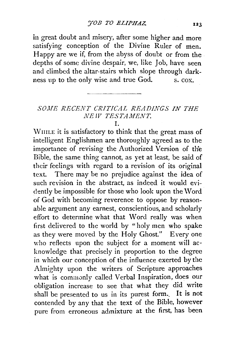in great doubt and misery, after some higher and more satisfying conception of the Divine Ruler of men. Happy are we if, from the abyss of doubt or from the depths of some divine despair, we, like Job, have seen and climbed the altar-stairs which slope through darkness up to the only wise and true God. s. cox.

## *SOJ!E RECENT CRITICAL READINGS IN THE NE lV TESTAMENT.*

## I.

\VmLE it is satisfactory to think that the great mass of intelligent Englishmen are thoroughly agreed as to the importance of revising the Authorized Version of the Bible, the same thing cannot, as yet at least, be said of their feelings with regard to a revision of its original text. There may be no prejudice against the idea of such revision in the abstract, as indeed it would evidently be impossible for those who look upon the \Vord of God with becoming reverence to oppose by reasonable argument any earnest, conscientious, and scholarly effort to determine what that Word really was when first delivered to the world by "holy men who spake as they were moved by the Holy Ghost." Every one who reflects upon the subject for a moment will acknowledge that precisely in proportion to the degree in which our conception of the influence exerted by the Almighty upon the writers of Scripture approaches what is commonly called Verbal Inspiration, does our obligation increase to see that what they did write shall be presented to us in its purest form.. It is not contended by any that the text of the Bible, however pure from erroneous admixture at the first, has been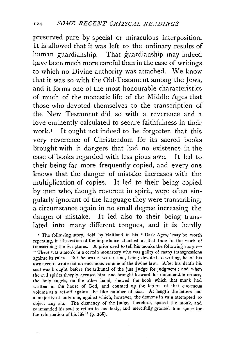preserved pure by special or miraculous interposition. It is allowed that it was left to the ordinary results of human guardianship. That guardianship may indeed have been much more careful than in the case of writings to which no Divine authority was attached. We know that it was so with the Old· Testament among the Jews, and it forms one of the most honoarable characteristics of much of the monastic life of the Middle Ages that those who devoted themselves to the transcription of the New Testament did so with a reverence and a love eminently calculated to secure faithfulness in their work.<sup>I</sup> It ought not indeed to be forgotten that this very reverence of Christendom for its sacred books brought with it dangers that had no existence in the case of books regarded with less pious awe. It led to their being far more frequently copied, and every one knows that the danger of mistake increases with the multiplication of copies. It led to their being copied by men who, though reverent in spirit, were often singularly ignorant of the language they were transcribing, a circumstance again in no small degree increasing the danger of mistake. It led also to their being translated into many different tongues, and it is hardly

' The following story, told by Maitland in his "Dark Ages," may be worth repeating, in illustration of the importance attached at that time to the work of transcribing the Scriptures. A prior used to tell his monks the following story :-"There was a monk in a certain monastery who was guilty of many transgressions against its rules. But he was a writer, and, being devoted to writing, he of his own accord wrote out an enormous volume of the divine law. After his death his soul was brought before the tribunal of the just Judge for judgment; and when the evil spirits sharply accused him, and brought forward his innumerable crimes, the holy angels, on the other hand, shewed the book which that monk had written in the house of God, and counted up the letters of that enormous volume as a set-off against the like number of sins. At length the letters had a majority of only one, against which, however, the demons in vain attempted to object any sin. The clemency of the Judge, therefore, spared the monk, and commanded his soul to return to his body, and mercifully granted him space for the reformation of his life" (p. 268).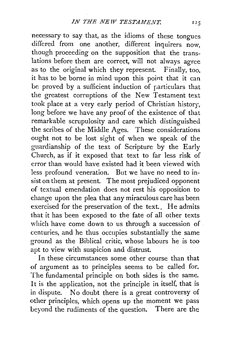necessary to say that, as the idioms of these tongues differed from one another, different inquirers now, though proceeding on the supposition that the translations before them are correct, will not always agree as to the original which they represent. Finally, too, it has to be borne in mind upon this point that it can be proved by a sufficient induction of particulars that the greatest corruptions of the New Testament text took place at a very early period of Christian history, long before we have any proof of the existence of that remarkable scrupulosity and care which distinguished the scribes of the Middle Ages. These considerations ought not to be lost sight of when we speak of the guardianship of the text of Scripture by the Early Church, as if it exposed that text to far less risk of error than would have existed had it been viewed with less profound veneration. But we have no need to insist on them at present. The most prejudiced opponent of textual emendation does not rest his opposition to change upon the plea that any miraculous care has been exercised for the preservation of the text. He admits that it has been exposed to the fate of all other texts which have come down to us through a succession of centuries, and he thus occupies substantially the same ground as the Biblical critic, whose labours he is too apt to view with suspicion and distrust.

In these circumstances some other course than that of argument as to principles seems to be called for. The fundamental principle on both sides is the same. It is the application, not the principle in itself, that is in dispute. No doubt there is a great controversy of other principles, which opens up the moment we pass beyond the rudiments of the question. There are the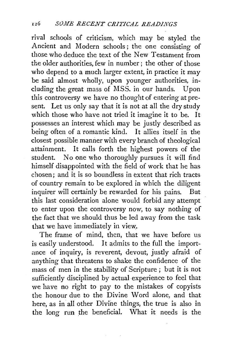rival schools of criticism, which may be styled the Ancient and Modern schools ; the one consisting of those who deduce the text of the New Testament from the older authorities, few in number; the other of those who depend to a much larger extent, in practice it may be said almost wholly, upon younger authorities, including the great mass of MSS. in our hands. Upon this controversy we have no thought of entering at present. Let us only say that it is not at all the dry study which those who have not tried it imagine it to be. It possesses an interest which may be justly described as being often of a romantic kind. It allies itself in the closest possible manner with every branch of theological attainment. It calls forth the highest powers of the student. No one who thoroughly pursues it will find himself disappointed with the field of work that he has chosen; and it is so boundless in extent that rich tracts of country remain to be explored in which the diligent inquirer will certainly be rewarded for his pains. But this last consideration alone would forbid any attempt to enter upon the controversy now, to say nothing of the fact that we should thus be led away from the task that we have immediately in view.

The frame of mind, then, that we have before us is easily understood. It admits to the full the importance of inquiry, is reverent, devout, justly afraid of anything that threatens to shake the confidence of the mass of men in the stability of Scripture ; but it is not sufficiently disciplined by actual experience to feel that we have no right to pay to the mistakes of copyists the honour due to the Divine Word alone, and that here, as in all other Divine things, the true is also in the long run the beneficial. What it needs is the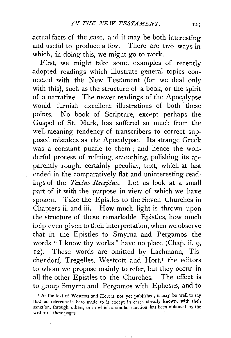actual facts of the case, and it may be both interesting and useful to produce a few. There are two ways in which, in doing this, we might go to work.

First, we might take some examples of recently adopted readings which illustrate general topics connected with the New Testament (for we deal only with this), such as the structure of a book, or the spirit of a narrative. The newer readings of the Apocalypse would furnish excellent illustrations of both these points. No book of Scripture, except perhaps the Gospel of St. Mark, has suffered so much from the well-meaning tendency of transcribers to correct supposed mistakes as the Apocalypse. Its strange Greek was a constant puzzle to them ; and hence the wonderful process of refining, smoothing, polishing its apparently rough, certainly peculiar, text, which at last ended in the comparatively flat and uninteresting readings of the *Textus Receptus.* Let us look at a small part of it with the purpose in view of which we have spoken. Take the Epistles to the Seven Churches in Chapters ii. and iii. How much light is thrown upon the structure of these remarkable Epistles, how much help even given to their interpretation, when we observe that in the Epistles to Smyrna and Pergamos the words " I know thy works" have no place (Chap. ii. 9, 12). These words are omitted by Lachmann, Tischendorf, Tregelles, Westcott and Hort,<sup>I</sup> the editors to whom we propose mainly to refer, but they occur in all the other Epistles to the Churches. The effect is to group Smyrna and Pergamos with Ephesus, and to

 $127$ 

<sup>&</sup>lt;sup>1</sup> As the text of Westcott and Hort is not yet published, it may be well to say that no reference is here made to it except in cases already known, with their sanction, through others, or in which a similar sanction has been obtained by the writer of these pages.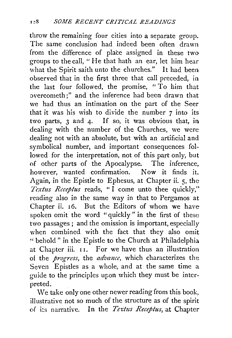throw the remaining four cities into a separate group. The same conclusion had indeed been often drawn from the difference of place assigned in these two groups to the call, "He that hath an ear, let him hear what the Spirit saith unto the churches." It had been observed that in the first three that call preceded, in the last four followed, the promise, "To him that overcometh;" and the inference had been drawn that we had thus an intimation on the part of the Seer that it was his wish to divide the number 7 into its two parts,  $3$  and  $4$ . If so, it was obvious that, in dealing with the number of the Churches, we were dealing not with an absolute, but with an artificial and symbolical number, and important consequences followed for the interpretation, not of this part only, but of other parts of the Apocalypse. The inference. however, wanted confirmation. Now it finds it. Again, in the Epistle to Ephesus, at Chapter ii. 5, the *Textus Rcceptus* reads, "I come unto thee quickly," reading also in the same way in that to Pergamos at Chapter ii. 16. But the Editors of whom we have spoken omit the word "quickly" in the first of these two passages; and the omission is important, especially when combined with the fact that they also omit "behold" in the Epistle to the Church at Philadelphia at Chapter iii. II. For we have thus an illustration of the *progress*, the *advance*, which characterizes the Seven Epistles as a whole, and at the same time a guide to the principles upon which they must be interpreted.

We take only one other newer reading from this book, illustrative not so much of the structure as of the spirit of its narrative. In the *Tertus Receptus,* at Chapter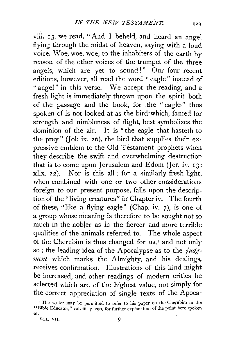viii. 13, we read, "And I beheld, and heard an angel flying through the midst of heaven, saying with a loud voice, Woe, woe, woe, to the inhabiters of the earth by reason of the other voices of the trumpet of the three angels, which are yet to sound!" Our four recent editions, however, all read the word "eagle" instead of " angel" in this verse. We accept the reading, and a fresh light is immediately thrown upon the spirit both of the passage and the book, for the " eagle " thus spoken of is not looked at as the bird which, famed for strength and nimbleness of flight, best symbolizes the dominion of the air. It is "the eagle that hasteth to the prey" (Job ix. 26), the bird that supplies their expressive emblem to the Old Testament prophets when they describe the swift and overwhelming destruction that is to come upon Jerusalem and Edom (Jer. iv.  $13$ ; xlix. *22* ). Nor is this all; for a similarly fresh light, when combined with one or two other considerations foreign to our present purpose, falls upon the description of the "living creatures" in Chapter iv. The fourth of these, "like a flying eagle" (Chap. iv. 7), is one of a group whose meaning is therefore to be sought not so much in the nobler as in the fiercer and more terrible qualities of the animals referred to. The whole aspect of the Cherubim is thus changed for us,<sup> $I$ </sup> and not only so; the leading idea of the Apocalypse as to the *judg*ment which marks the Almighty, and his dealings, receives confirmation. Illustrations of this kind might be increased, and other readings of modern critics be selected which are of the highest value, not simply for the correct appreciation of single texts of the Apoca-

<sup>&</sup>lt;sup>I</sup> The writer may be permitted to refer to his paper on the Cherubim in the "Bible Educator," vol. iii. p. 290, for further explanation of the point here spoken  $\bullet$  f.

VOL. VII. 9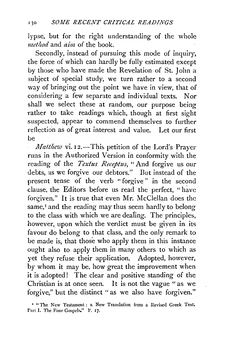lypse, but for the right understanding of the whole *metlwd* and *aim* of the book.

Secondly, instead of pursuing this mode of inquiry, the force of which can hardly be fully estimated except by those who have made the Revelation of St. John a subject of special study, we turn rather to a second way of bringing out the point we have in view, that of considering a few separate and individual texts. Nor shall we select these at random, our purpose being rather to take readings which, though at first sight suspected, appear to commend themselves to further reflection as of great interest and value. Let our first be

*Matthew vi. 12.*-This petition of the Lord's Prayer runs in the Authorized Version in conformity with the reading of the *Textus Receptus,* " And forgive us our debts, as we forgive our debtors." But instead of the present tense of the verb " forgive " in the second clause, the Editors before us read the perfect, "have forgiven." It is true that even Mr. McClellan does the same,<sup>I</sup> and the reading may thus seem hardly to belong to the class with which we are deafing. The principles, however, upon which the verdict must be giyen in its favour do belong to that class, and the only remark to be made is, that those who apply them in this instance ought also to apply them in many others to which as yet they refuse their application. Adopted, however, by whom it may be. how great the improvement when it is adopted! The clear and positive standing of the Christian is at once seen. It is not the vague " as we forgive," but the distinct "as we also have forgiven."

<sup>&#</sup>x27; "The New Testament: a New Translation from a Revised Greek Text. Part I. The Four Gospels." P. 17.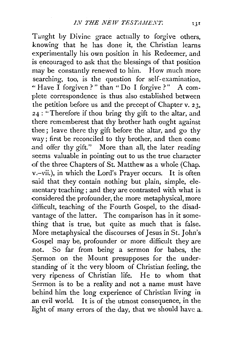Taught by Divine grace actually to forgive others, knowing that he has done it, the Christian learns experimentally his own position in his Redeemer, and is encouraged to ask that the blessings of that position may be constantly renewed to him. How much more searching, too, is the question for self-examination, •• Have I forgiven? " than " Do I forgive ? " A complete correspondence is thus also established between the petition before us and the precept of Chapter v. 23, 24 : "Therefore if thou bring thy gift to the altar, and there rememberest that thy brother hath ought against thee; leave there thy gift before the altar, and go thy way; first be reconciled to thy brother, and then come and offer thy gift." More than all, the later reading seems valuable in pointing out to us the true character of the three Chapters of St. Matthew as a whole (Chap. v.-vii.), in which the Lord's Prayer occurs. It is often said that they contain nothing but plain, simple, elementary teaching ; and they are contrasted with what is -considered the profounder, the more metaphysical, more difficult, teaching of the Fourth Gospel, to the disadvantage of the latter. The comparison has in it something that is true, but quite as much that is false. More metaphysical the discourses of Jesus in St. John's ·Gospel may be, profounder or more difficult they are :not. So far from being a sermon for babes, the .Sermon on the Mount presupposes for the understanding of it the very bloom of Christian feeling, the very ripeness of Christian life. He to whom that Sermon is to be a reality and not a name must have behind him the long experience of Christian living in .an evil world. It is of the utmost consequence, in the light of many errors of the day, that we should have a.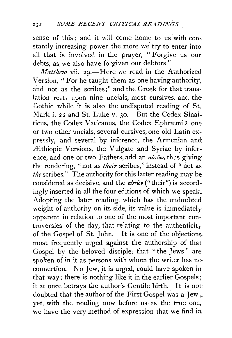sense of this ; and it will come home to us with constantly increasing power the more we try to enter into all that is involved in the prayer, " Forgive us our debts, as we also have forgiven our debtors."

*Matthew* vii. 29.—Here we read in the Authorized Version, " For he taught them as one having authority, and not as the scribes;" and the Greek for that translation rests upon nine uncials, most cursives, and the Gothic, while it is also the undisputed reading of St. Mark i. 22 and St. Luke v. 30. But the Codex Sinaiticus, the Codex Vaticanus, the Codex Ephræmi 3, one or two other uncials, several cursives, one old Latin expressly, and several by inference, the Armenian and *<i>lEthiopic Versions*, the Vulgate and Syriac by inference, and one or two Fathers, add an  $a\dot{v}\dot{w}$ , thus giving the rendering, " not as *their* scribes,'' instead of " not as *the* scribes." The authority for this latter reading may be considered as decisive, and the  $a\dot{v}\dot{\omega}v$  ("their") is accordingly inserted in all the four editions of which we speak. Adopting the later reading, which has the undoubted weight of authority on its side, its value is immediately apparent in relation to one of the most important controversies of the day, that relating to the authenticity of the Gospel of St. John. It is one of the objections. most frequently urged against the authorship of that Gospel by the beloved disciple, that "the Jews " are· spoken of in it as persons with whom the writer has no. connection. No Jew, it is urged, could have spoken in that way; there is nothing like it in the earlier Gospels; it at once betrays the author's Gentile birth. It is not doubted that the author of the First Gospel was a Jew; yet, with the reading now before us as the true one,. we have the very method of expression that we find in,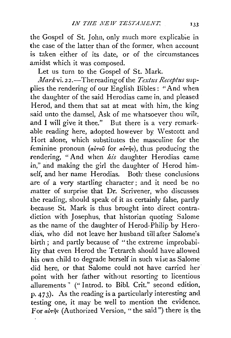the Gospel of St. John, only much more explicable in the case of the latter than of the former, when account *is* taken either of its date, or of the circumstances amidst which it was composed.

Let us turn to the Gospel of St. Mark.

*Mark* vi. 22.-Thereadingof the *Textus Receptus* supplies the rendering of our English Bibles : "And when the daughter of the said Herodias came in, and pleased Herod, and them that sat at meat with him, the king said unto the damsel, Ask of me whatsoever thou wilt, and I will give it thee." But there is a very remarkable reading here, adopted however by Westcott and Hort alone, which substitutes the masculine for the feminine pronoun *(avrou* for *avring*), thus producing the rendering, "And when *his* daughter Herodias came in," and making the girl the daughter of Herod himself, and her name Herodias. Both these conclusions are of a very startling character; and it need be no matter of surprise that Dr. Scrivener, who discusses the reading, should speak of it as certainly false, partly because St. Mark is thus brought into direct contradiction with Josephus, that historian quoting Salome as the name of the daughter of Herod-Philip by Herodias, who did not leave her husband till after Salome's birth; and partly because of "the extreme improbability that even Herod the Tetrarch should have allowed his own child to degrade herself in such wise as Salome did here, or that Salome could not have carried her· point with her father without resorting to licentious allurements " (" Introd. to Bibl. Crit." second edition, p. 473). As the reading is a particulariy interesting and testing one, it may be well to mention the evidence. For  $a\dot{v}\tau\hat{\eta}$ s (Authorized Version, "the said") there is the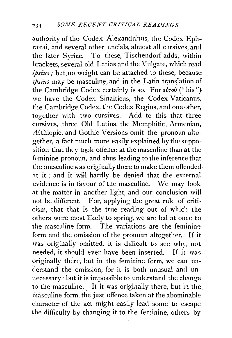authority of the Codex Alexandrinus, the Codex Ephrærai, and several other uncials, almost all cursives, and the later Syriac. To these, Tischendorf adds, within brackets, several old Latins and the Vulgate, which read *ipsius;* but, no weight can be attached to these, because *ipsius* may be masculine, and in the Latin translation of the Cambridge Codex certainly is so. For  $a\dot{v}\tau o\hat{v}$  ("his") we have the Codex Sinaiticus, the Codex Vaticanus, the Cambridge Codex, the Codex Regius, and one other, together with two cursives, Add to this that three cursives, three Old Latins, the Memphitic, Armenian, .!Ethiopic, and Gothic Versions omit the pronoun altogether, a fact much more easily explained by the suppo~ sition that they took offence at the masculine than at the feminine pronoun, and thus leading to the inference that the masculine was originally there to make them offended at it; and it will hardly be denied that the external evidence is in favour of the masculine. \Ve may look at the matter in another light, and our conclusion will not be different. For, applying the great rule of criticism, that that is the true reading out of which the others were most likely to spring, we are led at once to the masculine form. The variations are the feminine form and the omission of the pronoun altogether. If it was originally omitted, it is difficult to see why, not needed, it should ever have been inserted. If it was originally there, but in the feminine form, we can understand the omission, for it is both unusual and unnecessary; but it is impossible to understand the change to the masculine. If it was originally there, but in the masculine form, the just offence taken at the abominable character of the act might easily lead some to escape the difficulty by changing it to the feminine, others by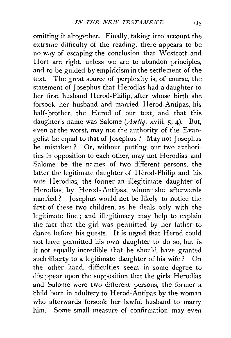omitting it altogether. Finally, taking into account the extreme difficulty of the reading, there appears to be no way of escaping the conclusion that Westcott and Hort are right, unless we are to abandon principles, and to be guided by empiricism in the settlement of the text. The great source of perplexity is, of course, the statement of 1osephus that Herodias had a daughter to her first husband Herod-Philip, after whose birth she forsook her husband and married Herod-Antipas, his half-brother, the Herod of our text, and that this daughter's name was Salome (Antiq. xviii. 5, 4). But, even at the worst, may not the authority of the Evangelist be equal to that of *1* osephus ? May not *1* osephus be mistaken? Or, without putting our two authorities in opposition to each other, may not Herodias and Salome be the names of two different persons, the latter the legitimate daughter of Herod-Philip and his wife Herodias, the former an illegitimate daughter of Herodias by Herod-Antipas, whom she afterwards married ? Josephus would not be likely to notice the first of these two children, as he deals only with the legitimate line; and illegitimacy may help to explain the fact that the girl was permitted by her father to dance before his guests. It is urged that Herod could. not have permitted his own daughter to do so, but is it not equally incredible that he should have granted such liberty to a legitimate daughter of his wife? On the other hand, difficulties seem in some degree to disappear upon the supposition that the girls Herodias and Salome were two different persons, the former a child born in adultery to Herod-Antipas by the woman who afterwards forsook her lawful husband to marry him. Some small measure of confirmation may even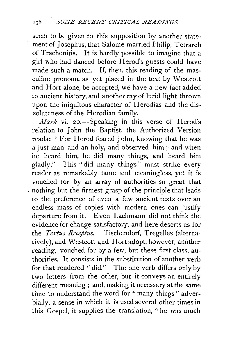seem to be given to this supposition by another statement of Josephus, that Salome married Philip, Tetrarch of Trachonitis. It is hardly possible to imagine that a girl who had danced before Herod's guests could have made such a match. If, then, this reading of the masculine pronoun, as yet placed in the text by Westcott and Hort alone, be accepted, we have a new fact added to ancient history, and another ray of lurid light thrown upon the iniquitous character of Herodias and the dissoluteness of the Herodian family.

*Mark* vi. 20.—Speaking in this verse of Herod's relation to John the Baptist, the Authorized Version reads: "For Herod feared John, knowing that he was a just man and an holy, and observed him;· and when he heard him, he did many things, and heard him gladly." This "did many things" must strike every reader as remarkably tame and meaningless, yet it is vouched for by an array of authorities so great that . nothing but the firmest grasp of the principle that leads to the preference of even a few ancient texts over an endless mass of copies with modern ones can justify departure from it. Even Lachmann did not think the evidence for change satisfactory, and here deserts us for the *Textus Receptus*. Tischendorf, Tregelles (alternatively), and Westcott and Hortadopt, however, another reading, vouched for by a few, but these first class, authorities. It consists in the substitution of another verb for that rendered "did." The one verb differs only by two letters from the other, but it conveys an entirely different meaning; and, making it necessary at the same time to understand the word for "many things" adverbiaily, a sense in which it is used several other times in this Gospel, it supplies the translation, "he was much